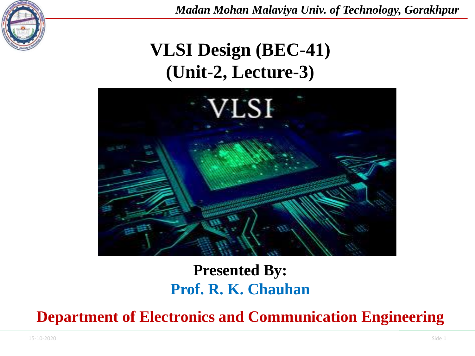

*Madan Mohan Malaviya Univ. of Technology, Gorakhpur*

# **VLSI Design (BEC-41) (Unit-2, Lecture-3)**



#### **Presented By: Prof. R. K. Chauhan**

**Department of Electronics and Communication Engineering**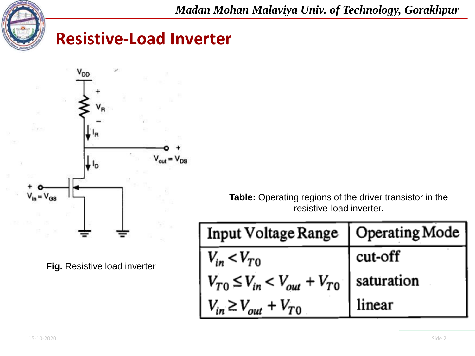

*Madan Mohan Malaviya Univ. of Technology, Gorakhpur*

#### **Resistive-Load Inverter**



**Fig.** Resistive load inverter

**Table:** Operating regions of the driver transistor in the resistive-load inverter.

| Input Voltage Range   Operating Mode               |         |
|----------------------------------------------------|---------|
| $V_{in}$ < $V_{T0}$                                | cut-off |
| $V_{T0} \leq V_{in} < V_{out} + V_{T0}$ saturation |         |
| $V_{in} \geq V_{out} + V_{TO}$                     | linear  |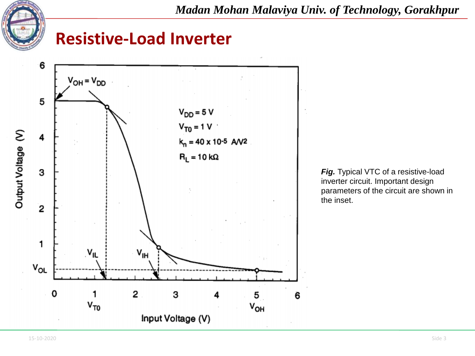

*Madan Mohan Malaviya Univ. of Technology, Gorakhpur*

#### **Resistive-Load Inverter**



**Fig.** Typical VTC of a resistive-load inverter circuit. Important design parameters of the circuit are shown in the inset.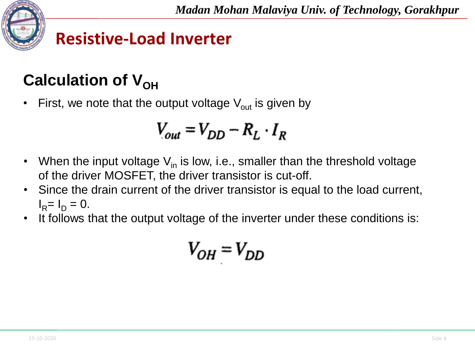# **Calculation of V<sub>OH</sub>**

First, we note that the output voltage  $V_{out}$  is given by

$$
V_{out} = V_{DD} - R_L \cdot I_R
$$

- When the input voltage  $V_{in}$  is low, i.e., smaller than the threshold voltage of the driver MOSFET, the driver transistor is cut-off.
- Since the drain current of the driver transistor is equal to the load current,  $I_R = I_D = 0.$
- It follows that the output voltage of the inverter under these conditions is:

$$
V_{OH} = V_{DD}
$$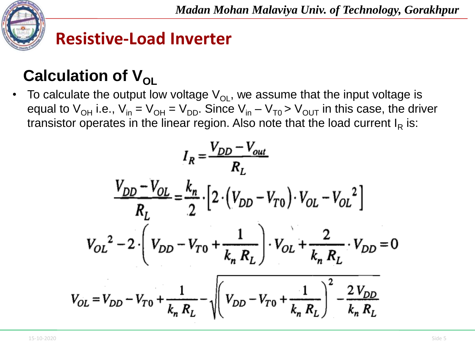

# **Calculation of V<sub>OL</sub>**

To calculate the output low voltage  $V_{\text{OL}}$ , we assume that the input voltage is equal to  $V_{OH}$  i.e.,  $V_{in} = V_{OH} = V_{DD}$ . Since  $V_{in} - V_{TO} > V_{OUT}$  in this case, the driver transistor operates in the linear region. Also note that the load current I<sub>R</sub> is:

$$
I_R = \frac{V_{DD} - V_{out}}{R_L}
$$
  

$$
\frac{V_{DD} - V_{OL}}{R_L} = \frac{k_n}{2} \cdot \left[ 2 \cdot (V_{DD} - V_{T0}) \cdot V_{OL} - V_{OL}^2 \right]
$$
  

$$
V_{OL}^2 - 2 \cdot \left( V_{DD} - V_{T0} + \frac{1}{k_n R_L} \right) \cdot V_{OL} + \frac{2}{k_n R_L} \cdot V_{DD} = 0
$$
  

$$
V_{OL} = V_{DD} - V_{T0} + \frac{1}{k_n R_L} - \sqrt{\left( V_{DD} - V_{T0} + \frac{1}{k_n R_L} \right)^2 - \frac{2 V_{DD}}{k_n R_L}}
$$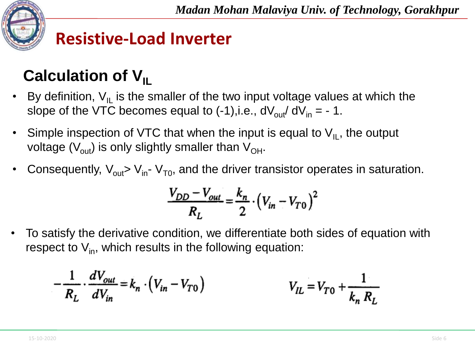

# **Calculation of V<sub>IL</sub>**

- By definition,  $V_{II}$  is the smaller of the two input voltage values at which the slope of the VTC becomes equal to  $(-1)$ , i.e.,  $dV_{\text{out}}/dV_{\text{in}} = -1$ .
- Simple inspection of VTC that when the input is equal to  $V_{IL}$ , the output voltage ( $V_{\text{out}}$ ) is only slightly smaller than  $V_{\text{OH}}$ .
- Consequently,  $V_{out}$   $V_{in}$   $V_{To}$ , and the driver transistor operates in saturation.

$$
\frac{V_{DD} - V_{out}}{R_L} = \frac{k_n}{2} \cdot (V_{in} - V_{T0})^2
$$

• To satisfy the derivative condition, we differentiate both sides of equation with respect to  $V_{in}$ , which results in the following equation:

$$
-\frac{1}{R_L} \cdot \frac{dV_{out}}{dV_{in}} = k_n \cdot (V_{in} - V_{T0})
$$
  
  $V_{IL} = V_{T0} + \frac{1}{k_n R_L}$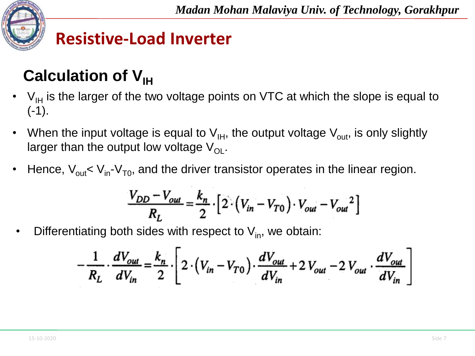

# **Calculation of V<sub>IH</sub>**

- $V_{\text{IH}}$  is the larger of the two voltage points on VTC at which the slope is equal to  $(-1)$ .
- When the input voltage is equal to  $V_{\text{IH}}$ , the output voltage  $V_{\text{out}}$ , is only slightly larger than the output low voltage  $V_{\text{OL}}$ .
- Hence,  $V_{\text{out}} < V_{\text{in}} V_{\text{To}}$ , and the driver transistor operates in the linear region.

$$
\frac{V_{DD} - V_{out}}{R_L} = \frac{k_n}{2} \cdot \left[ 2 \cdot \left( V_{in} - V_{T0} \right) \cdot V_{out} - V_{out}^2 \right]
$$

Differentiating both sides with respect to  $V_{in}$ , we obtain:

$$
-\frac{1}{R_L}\cdot\frac{dV_{out}}{dV_{in}} = \frac{k_n}{2}\cdot\left[2\cdot\left(V_{in} - V_{T0}\right)\cdot\frac{dV_{out}}{dV_{in}} + 2\,V_{out} - 2\,V_{out}\cdot\frac{dV_{out}}{dV_{in}}\right]
$$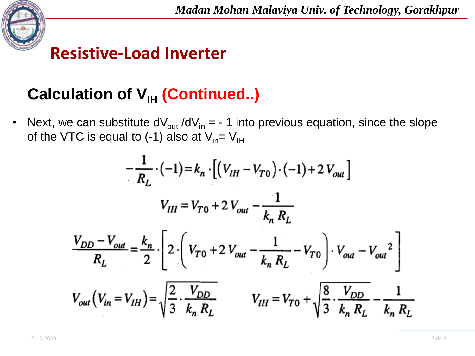

### **Calculation of V<sub>IH</sub> (Continued..)**

• Next, we can substitute  $dV_{out}/dV_{in} = -1$  into previous equation, since the slope of the VTC is equal to (-1) also at  $V_{in} = V_{IH}$ 

$$
-\frac{1}{R_{L}} \cdot (-1) = k_{n} \cdot \left[ (V_{IH} - V_{T0}) \cdot (-1) + 2 V_{out} \right]
$$
  

$$
V_{IH} = V_{T0} + 2 V_{out} - \frac{1}{k_{n} R_{L}}
$$
  

$$
\frac{V_{DD} - V_{out}}{R_{L}} = \frac{k_{n}}{2} \cdot \left[ 2 \cdot \left( V_{T0} + 2 V_{out} - \frac{1}{k_{n} R_{L}} - V_{T0} \right) \cdot V_{out} - V_{out}^{2} \right]
$$
  

$$
V_{out} (V_{in} = V_{IH}) = \sqrt{\frac{2}{3} \cdot \frac{V_{DD}}{k_{n} R_{L}}} \qquad V_{IH} = V_{T0} + \sqrt{\frac{8}{3} \cdot \frac{V_{DD}}{k_{n} R_{L}} - \frac{1}{k_{n} R_{L}}}
$$